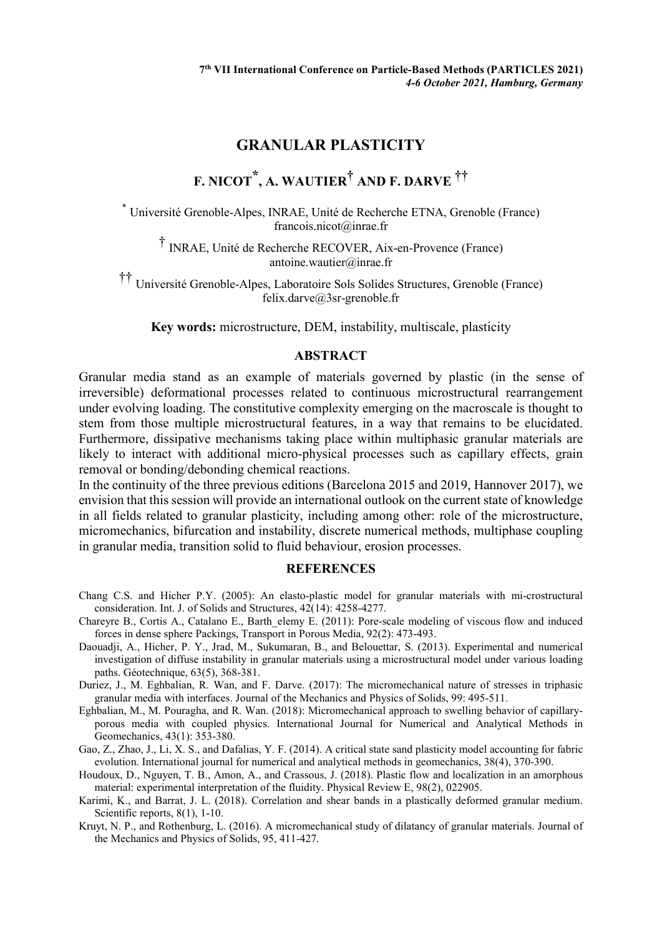## **GRANULAR PLASTICITY**

## **F. NICOT \*, A. WAUTIER† AND F. DARVE ††**

\* Université Grenoble-Alpes, INRAE, Unité de Recherche ETNA, Grenoble (France) francois.nicot@inrae.fr

† INRAE, Unité de Recherche RECOVER, Aix-en-Provence (France) antoine.wautier@inrae.fr

†† Université Grenoble-Alpes, Laboratoire Sols Solides Structures, Grenoble (France) felix.darve@3sr-grenoble.fr

**Key words:** microstructure, DEM, instability, multiscale, plasticity

## **ABSTRACT**

Granular media stand as an example of materials governed by plastic (in the sense of irreversible) deformational processes related to continuous microstructural rearrangement under evolving loading. The constitutive complexity emerging on the macroscale is thought to stem from those multiple microstructural features, in a way that remains to be elucidated. Furthermore, dissipative mechanisms taking place within multiphasic granular materials are likely to interact with additional micro-physical processes such as capillary effects, grain removal or bonding/debonding chemical reactions.

In the continuity of the three previous editions (Barcelona 2015 and 2019, Hannover 2017), we envision that this session will provide an international outlook on the current state of knowledge in all fields related to granular plasticity, including among other: role of the microstructure, micromechanics, bifurcation and instability, discrete numerical methods, multiphase coupling in granular media, transition solid to fluid behaviour, erosion processes.

## **REFERENCES**

- Chang C.S. and Hicher P.Y. (2005): An elasto-plastic model for granular materials with mi-crostructural consideration. Int. J. of Solids and Structures, 42(14): 4258-4277.
- Chareyre B., Cortis A., Catalano E., Barth\_elemy E. (2011): Pore-scale modeling of viscous flow and induced forces in dense sphere Packings, Transport in Porous Media, 92(2): 473-493.
- Daouadji, A., Hicher, P. Y., Jrad, M., Sukumaran, B., and Belouettar, S. (2013). Experimental and numerical investigation of diffuse instability in granular materials using a microstructural model under various loading paths. Géotechnique, 63(5), 368-381.
- Duriez, J., M. Eghbalian, R. Wan, and F. Darve. (2017): The micromechanical nature of stresses in triphasic granular media with interfaces. Journal of the Mechanics and Physics of Solids, 99: 495-511.
- Eghbalian, M., M. Pouragha, and R. Wan. (2018): Micromechanical approach to swelling behavior of capillaryporous media with coupled physics. International Journal for Numerical and Analytical Methods in Geomechanics, 43(1): 353-380.
- Gao, Z., Zhao, J., Li, X. S., and Dafalias, Y. F. (2014). A critical state sand plasticity model accounting for fabric evolution. International journal for numerical and analytical methods in geomechanics, 38(4), 370-390.
- Houdoux, D., Nguyen, T. B., Amon, A., and Crassous, J. (2018). Plastic flow and localization in an amorphous material: experimental interpretation of the fluidity. Physical Review E, 98(2), 022905.
- Karimi, K., and Barrat, J. L. (2018). Correlation and shear bands in a plastically deformed granular medium. Scientific reports, 8(1), 1-10.
- Kruyt, N. P., and Rothenburg, L. (2016). A micromechanical study of dilatancy of granular materials. Journal of the Mechanics and Physics of Solids, 95, 411-427.